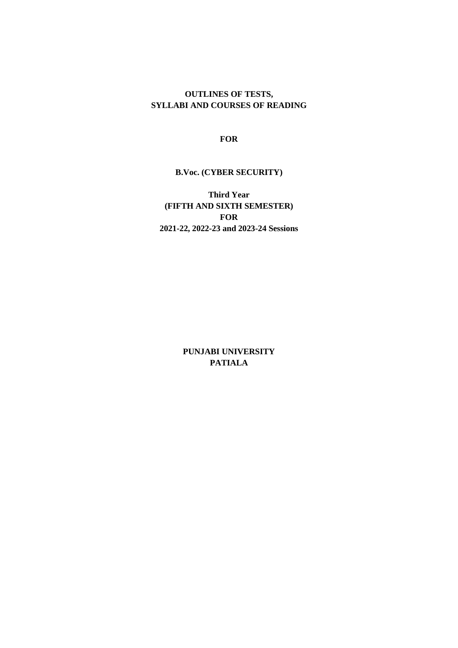#### **OUTLINES OF TESTS, SYLLABI AND COURSES OF READING**

**FOR**

### **B.Voc. (CYBER SECURITY)**

**Third Year (FIFTH AND SIXTH SEMESTER) FOR 2021-22, 2022-23 and 2023-24 Sessions**

> **PUNJABI UNIVERSITY PATIALA**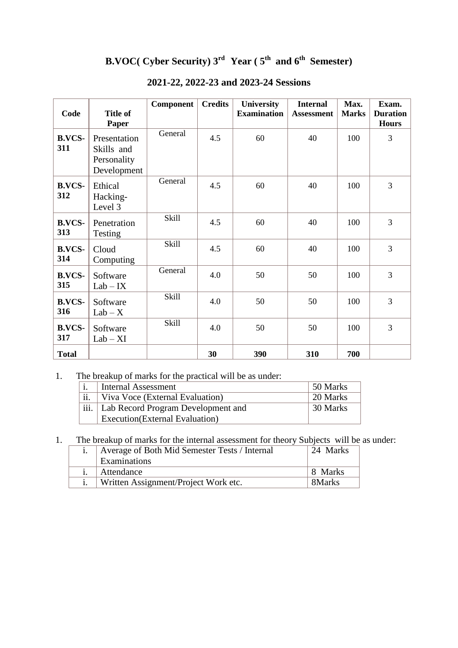# **B.VOC( Cyber Security) 3rd Year ( 5th and 6th Semester)**

| Code                 | <b>Title of</b><br><b>Paper</b>                          | Component    | <b>Credits</b> | <b>University</b><br><b>Examination</b> | <b>Internal</b><br><b>Assessment</b> | Max.<br><b>Marks</b> | Exam.<br><b>Duration</b><br><b>Hours</b> |
|----------------------|----------------------------------------------------------|--------------|----------------|-----------------------------------------|--------------------------------------|----------------------|------------------------------------------|
| <b>B.VCS-</b><br>311 | Presentation<br>Skills and<br>Personality<br>Development | General      | 4.5            | 60                                      | 40                                   | 100                  | 3                                        |
| <b>B.VCS-</b><br>312 | Ethical<br>Hacking-<br>Level 3                           | General      | 4.5            | 60                                      | 40                                   | 100                  | 3                                        |
| <b>B.VCS-</b><br>313 | Penetration<br>Testing                                   | Skill        | 4.5            | 60                                      | 40                                   | 100                  | 3                                        |
| <b>B.VCS-</b><br>314 | Cloud<br>Computing                                       | <b>Skill</b> | 4.5            | 60                                      | 40                                   | 100                  | 3                                        |
| <b>B.VCS-</b><br>315 | Software<br>$Lab - IX$                                   | General      | 4.0            | 50                                      | 50                                   | 100                  | $\overline{3}$                           |
| <b>B.VCS-</b><br>316 | Software<br>$Lab - X$                                    | Skill        | 4.0            | 50                                      | 50                                   | 100                  | 3                                        |
| <b>B.VCS-</b><br>317 | Software<br>$Lab - XI$                                   | <b>Skill</b> | 4.0            | 50                                      | 50                                   | 100                  | 3                                        |
| <b>Total</b>         |                                                          |              | 30             | 390                                     | 310                                  | 700                  |                                          |

# **2021-22, 2022-23 and 2023-24 Sessions**

# 1. The breakup of marks for the practical will be as under:

|                           | <b>Internal Assessment</b>         | 50 Marks |
|---------------------------|------------------------------------|----------|
| ii.                       | Viva Voce (External Evaluation)    | 20 Marks |
| $\overline{\text{iii}}$ . | Lab Record Program Development and | 30 Marks |
|                           | Execution(External Evaluation)     |          |

1. The breakup of marks for the internal assessment for theory Subjects will be as under:

| Average of Both Mid Semester Tests / Internal | 24 Marks |
|-----------------------------------------------|----------|
| Examinations                                  |          |
| Attendance                                    | 8 Marks  |
| Written Assignment/Project Work etc.          | 8Marks   |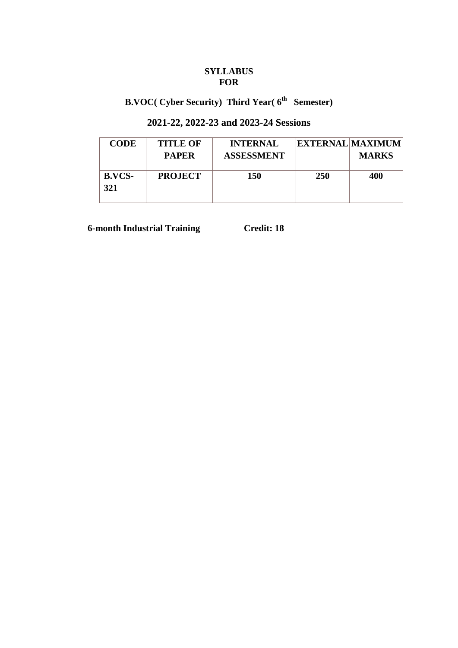# **SYLLABUS FOR**

# **B.VOC( Cyber Security) Third Year( 6th Semester)**

# **2021-22, 2022-23 and 2023-24 Sessions**

| <b>CODE</b>          | <b>TITLE OF</b><br><b>PAPER</b> | <b>INTERNAL</b><br><b>ASSESSMENT</b> |            | <b>EXTERNAL MAXIMUM</b><br><b>MARKS</b> |
|----------------------|---------------------------------|--------------------------------------|------------|-----------------------------------------|
| <b>B.VCS-</b><br>321 | <b>PROJECT</b>                  | 150                                  | <b>250</b> | 400                                     |

 **6-month Industrial Training Credit: 18**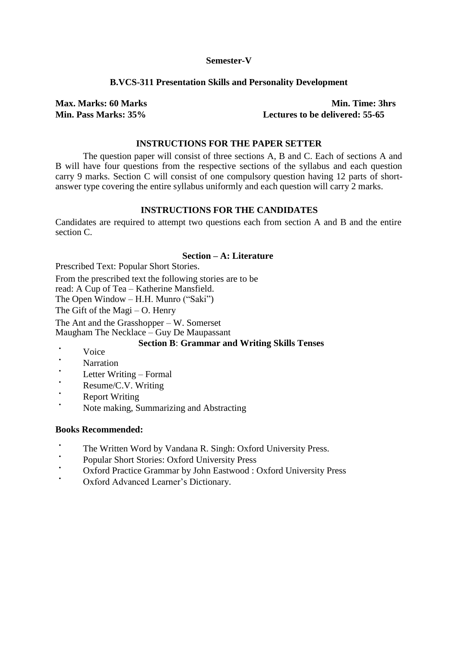#### **Semester-V**

#### **B.VCS-311 Presentation Skills and Personality Development**

**Max. Marks: 60 Marks Min. Time: 3hrs Min. Pass Marks: 35% Lectures to be delivered: 55-65** 

### **INSTRUCTIONS FOR THE PAPER SETTER**

The question paper will consist of three sections A, B and C. Each of sections A and B will have four questions from the respective sections of the syllabus and each question carry 9 marks. Section C will consist of one compulsory question having 12 parts of shortanswer type covering the entire syllabus uniformly and each question will carry 2 marks.

#### **INSTRUCTIONS FOR THE CANDIDATES**

Candidates are required to attempt two questions each from section A and B and the entire section C.

### **Section – A: Literature**

Prescribed Text: Popular Short Stories.

From the prescribed text the following stories are to be

read: A Cup of Tea – Katherine Mansfield.

The Open Window – H.H. Munro ("Saki")

The Gift of the Magi – O. Henry

The Ant and the Grasshopper – W. Somerset Maugham The Necklace – Guy De Maupassant

#### **Section B**: **Grammar and Writing Skills Tenses**

- Voice
- Narration
- Letter Writing – Formal
- Resume/C.V. Writing
- **Report Writing**
- Note making, Summarizing and Abstracting

#### **Books Recommended:**

- The Written Word by Vandana R. Singh: Oxford University Press.
- Popular Short Stories: Oxford University Press
- Oxford Practice Grammar by John Eastwood : Oxford University Press
- Oxford Advanced Learner's Dictionary.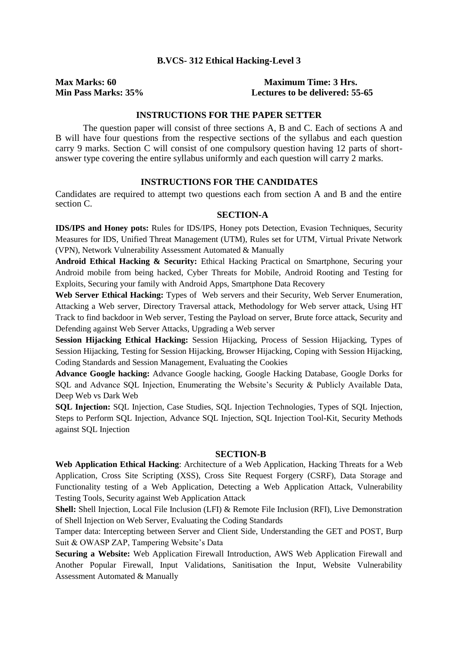#### **B.VCS- 312 Ethical Hacking-Level 3**

#### **Max Marks: 60 Maximum Time: 3 Hrs. Min Pass Marks: 35% Lectures to be delivered: 55-65**

#### **INSTRUCTIONS FOR THE PAPER SETTER**

The question paper will consist of three sections A, B and C. Each of sections A and B will have four questions from the respective sections of the syllabus and each question carry 9 marks. Section C will consist of one compulsory question having 12 parts of shortanswer type covering the entire syllabus uniformly and each question will carry 2 marks.

#### **INSTRUCTIONS FOR THE CANDIDATES**

Candidates are required to attempt two questions each from section A and B and the entire section C.

#### **SECTION-A**

**IDS/IPS and Honey pots:** Rules for IDS/IPS, Honey pots Detection, Evasion Techniques, Security Measures for IDS, Unified Threat Management (UTM), Rules set for UTM, Virtual Private Network (VPN), Network Vulnerability Assessment Automated & Manually

**Android Ethical Hacking & Security:** Ethical Hacking Practical on Smartphone, Securing your Android mobile from being hacked, Cyber Threats for Mobile, Android Rooting and Testing for Exploits, Securing your family with Android Apps, Smartphone Data Recovery

Web Server Ethical Hacking: Types of Web servers and their Security, Web Server Enumeration, Attacking a Web server, Directory Traversal attack, Methodology for Web server attack, Using HT Track to find backdoor in Web server, Testing the Payload on server, Brute force attack, Security and Defending against Web Server Attacks, Upgrading a Web server

**Session Hijacking Ethical Hacking:** Session Hijacking, Process of Session Hijacking, Types of Session Hijacking, Testing for Session Hijacking, Browser Hijacking, Coping with Session Hijacking, Coding Standards and Session Management, Evaluating the Cookies

**Advance Google hacking:** Advance Google hacking, Google Hacking Database, Google Dorks for SQL and Advance SQL Injection, Enumerating the Website's Security & Publicly Available Data, Deep Web vs Dark Web

**SQL Injection:** SQL Injection, Case Studies, SQL Injection Technologies, Types of SQL Injection, Steps to Perform SQL Injection, Advance SQL Injection, SQL Injection Tool-Kit, Security Methods against SQL Injection

#### **SECTION-B**

**Web Application Ethical Hacking**: Architecture of a Web Application, Hacking Threats for a Web Application, Cross Site Scripting (XSS), Cross Site Request Forgery (CSRF), Data Storage and Functionality testing of a Web Application, Detecting a Web Application Attack, Vulnerability Testing Tools, Security against Web Application Attack

**Shell:** Shell Injection, Local File Inclusion (LFI) & Remote File Inclusion (RFI), Live Demonstration of Shell Injection on Web Server, Evaluating the Coding Standards

Tamper data: Intercepting between Server and Client Side, Understanding the GET and POST, Burp Suit & OWASP ZAP, Tampering Website's Data

**Securing a Website:** Web Application Firewall Introduction, AWS Web Application Firewall and Another Popular Firewall, Input Validations, Sanitisation the Input, Website Vulnerability Assessment Automated & Manually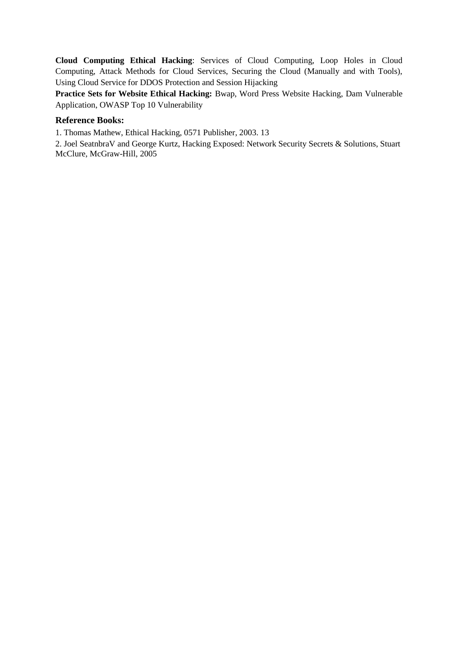**Cloud Computing Ethical Hacking**: Services of Cloud Computing, Loop Holes in Cloud Computing, Attack Methods for Cloud Services, Securing the Cloud (Manually and with Tools), Using Cloud Service for DDOS Protection and Session Hijacking

**Practice Sets for Website Ethical Hacking:** Bwap, Word Press Website Hacking, Dam Vulnerable Application, OWASP Top 10 Vulnerability

#### **Reference Books:**

1. Thomas Mathew, Ethical Hacking, 0571 Publisher, 2003. 13

2. Joel SeatnbraV and George Kurtz, Hacking Exposed: Network Security Secrets & Solutions, Stuart McClure, McGraw-Hill, 2005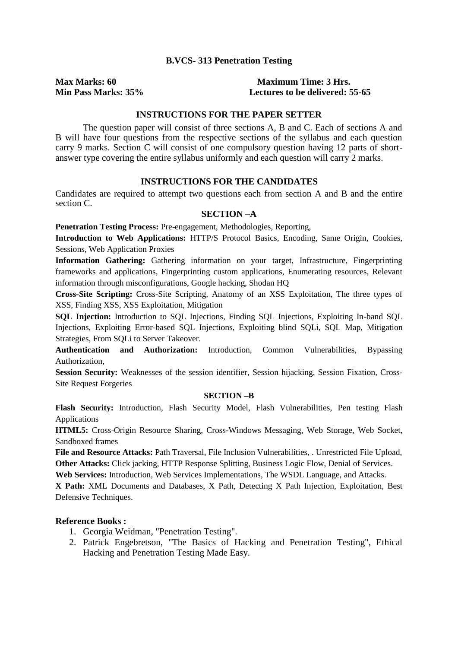#### **B.VCS- 313 Penetration Testing**

#### **Max Marks: 60 Maximum Time: 3 Hrs. Min Pass Marks: 35% Lectures to be delivered: 55-65**

#### **INSTRUCTIONS FOR THE PAPER SETTER**

The question paper will consist of three sections A, B and C. Each of sections A and B will have four questions from the respective sections of the syllabus and each question carry 9 marks. Section C will consist of one compulsory question having 12 parts of shortanswer type covering the entire syllabus uniformly and each question will carry 2 marks.

### **INSTRUCTIONS FOR THE CANDIDATES**

Candidates are required to attempt two questions each from section A and B and the entire section C.

#### **SECTION –A**

**Penetration Testing Process:** Pre-engagement, Methodologies, Reporting,

**Introduction to Web Applications:** HTTP/S Protocol Basics, Encoding, Same Origin, Cookies, Sessions, Web Application Proxies

**Information Gathering:** Gathering information on your target, Infrastructure, Fingerprinting frameworks and applications, Fingerprinting custom applications, Enumerating resources, Relevant information through misconfigurations, Google hacking, Shodan HQ

**Cross-Site Scripting:** Cross-Site Scripting, Anatomy of an XSS Exploitation, The three types of XSS, Finding XSS, XSS Exploitation, Mitigation

**SQL Injection:** Introduction to SQL Injections, Finding SQL Injections, Exploiting In-band SQL Injections, Exploiting Error-based SQL Injections, Exploiting blind SQLi, SQL Map, Mitigation Strategies, From SQLi to Server Takeover.

**Authentication and Authorization:** Introduction, Common Vulnerabilities, Bypassing Authorization,

**Session Security:** Weaknesses of the session identifier, Session hijacking, Session Fixation, Cross-Site Request Forgeries

#### **SECTION –B**

**Flash Security:** Introduction, Flash Security Model, Flash Vulnerabilities, Pen testing Flash Applications

**HTML5:** Cross-Origin Resource Sharing, Cross-Windows Messaging, Web Storage, Web Socket, Sandboxed frames

**File and Resource Attacks:** Path Traversal, File Inclusion Vulnerabilities, . Unrestricted File Upload, **Other Attacks:** Click jacking, HTTP Response Splitting, Business Logic Flow, Denial of Services.

**Web Services:** Introduction, Web Services Implementations, The WSDL Language, and Attacks.

**X Path:** XML Documents and Databases, X Path, Detecting X Path Injection, Exploitation, Best Defensive Techniques.

#### **Reference Books :**

- 1. Georgia Weidman, "Penetration Testing".
- 2. Patrick Engebretson, "The Basics of Hacking and Penetration Testing", Ethical Hacking and Penetration Testing Made Easy.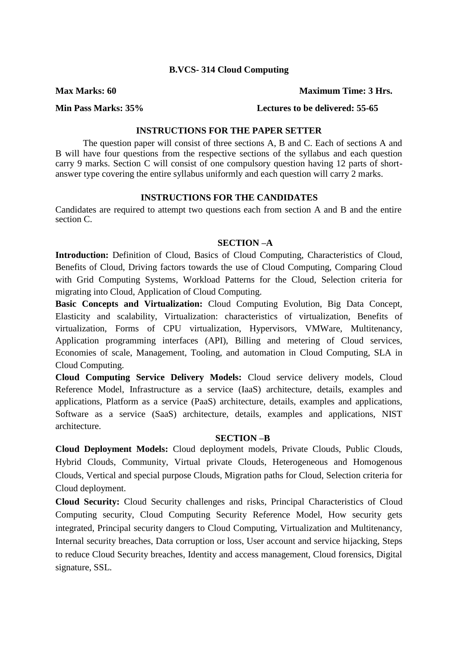#### **B.VCS- 314 Cloud Computing**

**Max Marks: 60 Maximum Time: 3 Hrs.**

#### **Min Pass Marks: 35% Lectures to be delivered: 55-65**

### **INSTRUCTIONS FOR THE PAPER SETTER**

The question paper will consist of three sections A, B and C. Each of sections A and B will have four questions from the respective sections of the syllabus and each question carry 9 marks. Section C will consist of one compulsory question having 12 parts of shortanswer type covering the entire syllabus uniformly and each question will carry 2 marks.

#### **INSTRUCTIONS FOR THE CANDIDATES**

Candidates are required to attempt two questions each from section A and B and the entire section C.

#### **SECTION –A**

**Introduction:** Definition of Cloud, Basics of Cloud Computing, Characteristics of Cloud, Benefits of Cloud, Driving factors towards the use of Cloud Computing, Comparing Cloud with Grid Computing Systems, Workload Patterns for the Cloud, Selection criteria for migrating into Cloud, Application of Cloud Computing.

**Basic Concepts and Virtualization:** Cloud Computing Evolution, Big Data Concept, Elasticity and scalability, Virtualization: characteristics of virtualization, Benefits of virtualization, Forms of CPU virtualization, Hypervisors, VMWare, Multitenancy, Application programming interfaces (API), Billing and metering of Cloud services, Economies of scale, Management, Tooling, and automation in Cloud Computing, SLA in Cloud Computing.

**Cloud Computing Service Delivery Models:** Cloud service delivery models, Cloud Reference Model, Infrastructure as a service (IaaS) architecture, details, examples and applications, Platform as a service (PaaS) architecture, details, examples and applications, Software as a service (SaaS) architecture, details, examples and applications, NIST architecture.

#### **SECTION –B**

**Cloud Deployment Models:** Cloud deployment models, Private Clouds, Public Clouds, Hybrid Clouds, Community, Virtual private Clouds, Heterogeneous and Homogenous Clouds, Vertical and special purpose Clouds, Migration paths for Cloud, Selection criteria for Cloud deployment.

**Cloud Security:** Cloud Security challenges and risks, Principal Characteristics of Cloud Computing security, Cloud Computing Security Reference Model, How security gets integrated, Principal security dangers to Cloud Computing, Virtualization and Multitenancy, Internal security breaches, Data corruption or loss, User account and service hijacking, Steps to reduce Cloud Security breaches, Identity and access management, Cloud forensics, Digital signature, SSL.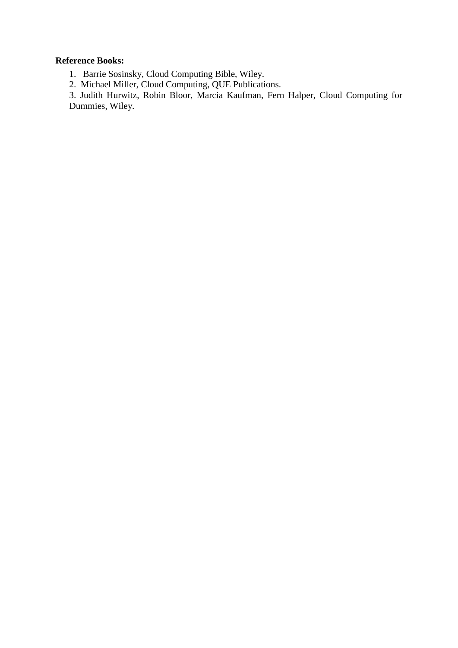# **Reference Books:**

1. Barrie Sosinsky, Cloud Computing Bible, Wiley.

2. Michael Miller, Cloud Computing, QUE Publications.

3. Judith Hurwitz, Robin Bloor, Marcia Kaufman, Fern Halper, Cloud Computing for Dummies, Wiley.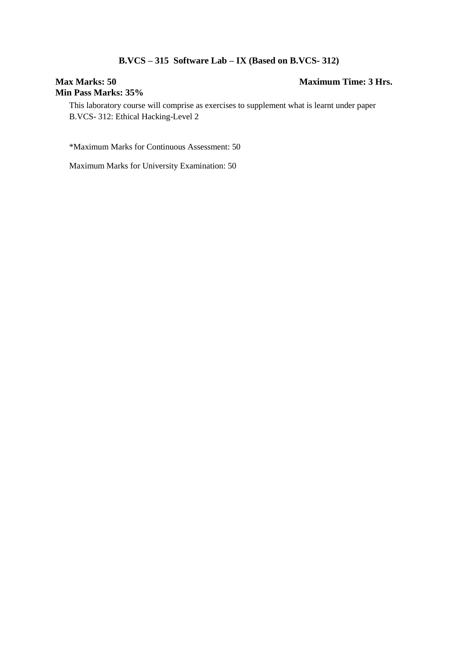# **B.VCS – 315 Software Lab – IX (Based on B.VCS- 312)**

# **Min Pass Marks: 35%**

# **Max Marks: 50 Maximum Time: 3 Hrs.**

This laboratory course will comprise as exercises to supplement what is learnt under paper B.VCS- 312: Ethical Hacking-Level 2

\*Maximum Marks for Continuous Assessment: 50

Maximum Marks for University Examination: 50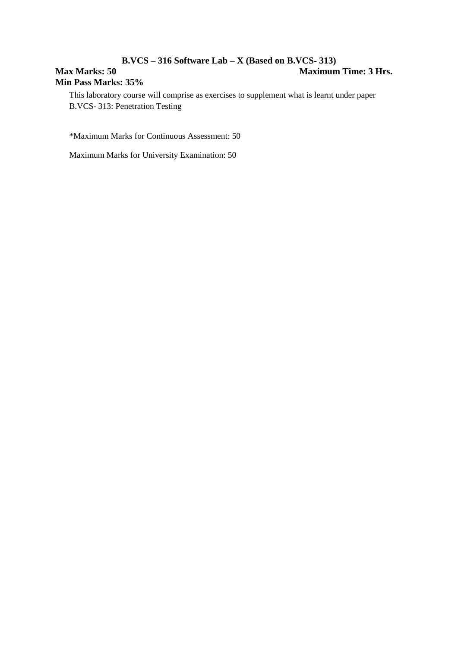# **B.VCS – 316 Software Lab – X (Based on B.VCS- 313) Max Marks: 50 Maximum Time: 3 Hrs. Min Pass Marks: 35%**

This laboratory course will comprise as exercises to supplement what is learnt under paper B.VCS- 313: Penetration Testing

\*Maximum Marks for Continuous Assessment: 50

Maximum Marks for University Examination: 50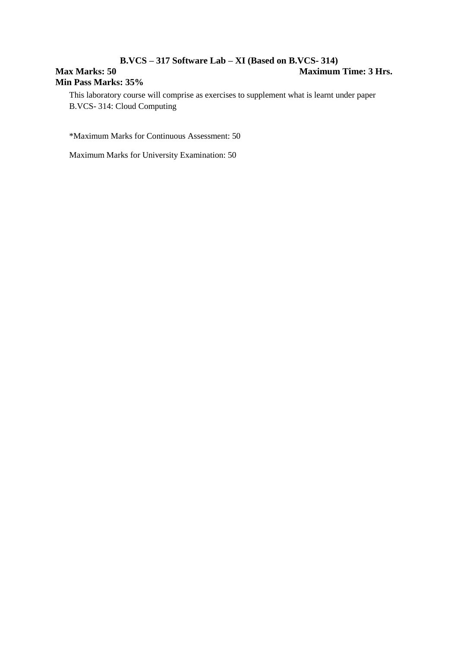# **B.VCS – 317 Software Lab – XI (Based on B.VCS- 314) Max Marks: 50 Maximum Time: 3 Hrs. Min Pass Marks: 35%**

This laboratory course will comprise as exercises to supplement what is learnt under paper B.VCS- 314: Cloud Computing

\*Maximum Marks for Continuous Assessment: 50

Maximum Marks for University Examination: 50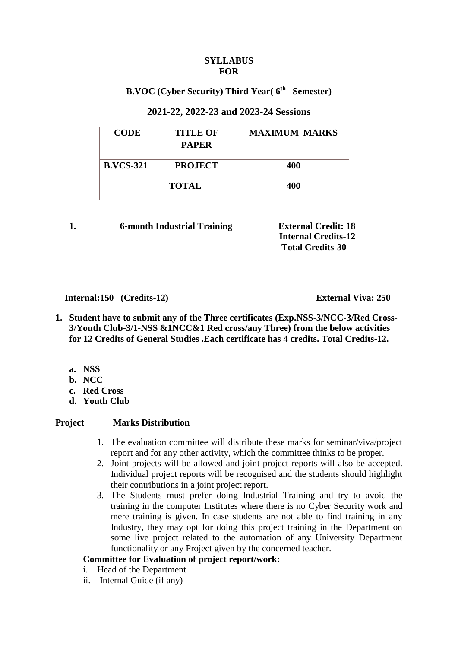#### **SYLLABUS FOR**

# **B.VOC (Cyber Security) Third Year( 6th Semester)**

# **2021-22, 2022-23 and 2023-24 Sessions**

| <b>CODE</b>      | <b>TITLE OF</b><br><b>PAPER</b> | <b>MAXIMUM MARKS</b> |
|------------------|---------------------------------|----------------------|
| <b>B.VCS-321</b> | <b>PROJECT</b>                  | 400                  |
|                  | <b>TOTAL</b>                    | 400                  |

### **1. 6-month Industrial Training External Credit: 18**

 **Internal Credits-12 Total Credits-30** 

### **Internal:150 (Credits-12) External Viva: 250**

- **1. Student have to submit any of the Three certificates (Exp.NSS-3/NCC-3/Red Cross-3/Youth Club-3/1-NSS &1NCC&1 Red cross/any Three) from the below activities for 12 Credits of General Studies .Each certificate has 4 credits. Total Credits-12.**
	- **a. NSS**
	- **b. NCC**
	- **c. Red Cross**
	- **d. Youth Club**

# **Project Marks Distribution**

- 1. The evaluation committee will distribute these marks for seminar/viva/project report and for any other activity, which the committee thinks to be proper.
- 2. Joint projects will be allowed and joint project reports will also be accepted. Individual project reports will be recognised and the students should highlight their contributions in a joint project report.
- 3. The Students must prefer doing Industrial Training and try to avoid the training in the computer Institutes where there is no Cyber Security work and mere training is given. In case students are not able to find training in any Industry, they may opt for doing this project training in the Department on some live project related to the automation of any University Department functionality or any Project given by the concerned teacher.

# **Committee for Evaluation of project report/work:**

- i. Head of the Department
- ii. Internal Guide (if any)